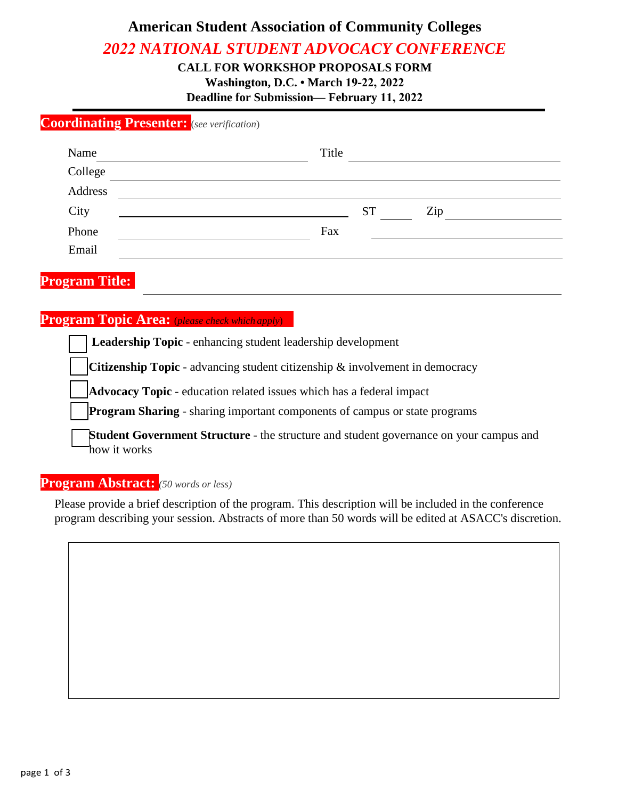## **American Student Association of Community Colleges**  *2022 NATIONAL STUDENT ADVOCACY CONFERENCE*

#### **CALL FOR WORKSHOP PROPOSALS FORM**

**Washington, D.C. • March 19-22, 2022**

**Deadline for Submission— February 11, 2022**

| Name    | Title            |
|---------|------------------|
| College |                  |
| Address |                  |
| City    | Zip<br><b>ST</b> |
| Phone   | Fax              |
| Email   |                  |

**Program Title:** 

### **Program Topic Area:** (*please check which apply*)

**Leadership Topic** - enhancing student leadership development

**Citizenship Topic** - advancing student citizenship & involvement in democracy

**Advocacy Topic** - education related issues which has a federal impact

**Program Sharing** - sharing important components of campus or state programs

**Student Government Structure** - the structure and student governance on your campus and how it works

### **Program Abstract:** *(50 words or less)*

Please provide a brief description of the program. This description will be included in the conference program describing your session. Abstracts of more than 50 words will be edited at ASACC's discretion.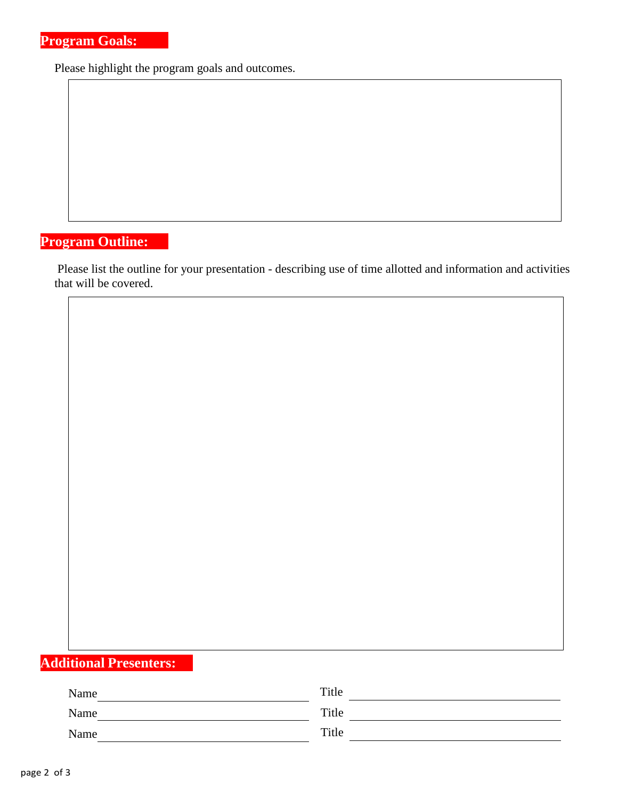**Program Goals:**

Please highlight the program goals and outcomes.

# **Program Outline:**

Please list the outline for your presentation - describing use of time allotted and information and activities that will be covered.

# **Additional Presenters:**

| Name | Title |
|------|-------|
| Name | Title |
| Name | Title |